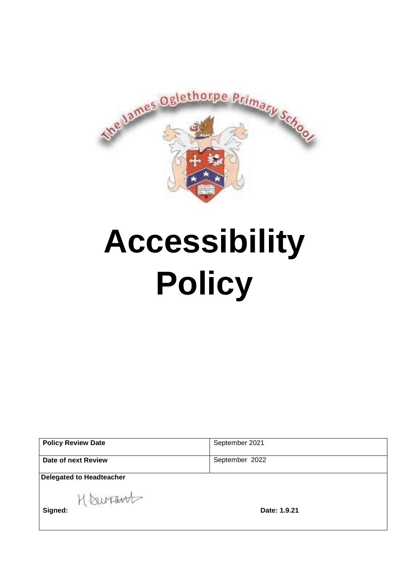

# **Accessibility Policy**

| <b>Policy Review Date</b> | September 2021 |
|---------------------------|----------------|
| Date of next Review       | September 2022 |
| Delegated to Headteacher  |                |

H **BUT TEM**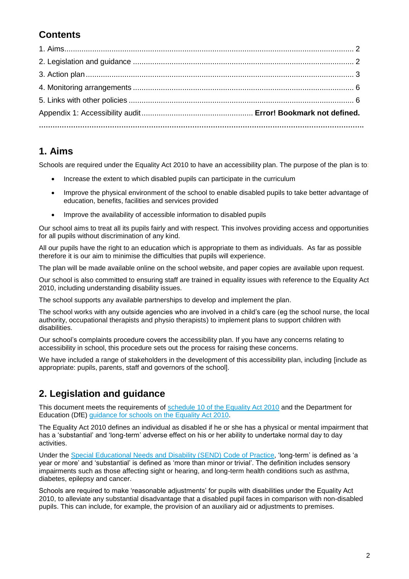# **Contents**

#### **1. Aims**

Schools are required under the Equality Act 2010 to have an accessibility plan. The purpose of the plan is to:

- Increase the extent to which disabled pupils can participate in the curriculum
- Improve the physical environment of the school to enable disabled pupils to take better advantage of education, benefits, facilities and services provided
- Improve the availability of accessible information to disabled pupils

Our school aims to treat all its pupils fairly and with respect. This involves providing access and opportunities for all pupils without discrimination of any kind.

All our pupils have the right to an education which is appropriate to them as individuals. As far as possible therefore it is our aim to minimise the difficulties that pupils will experience.

The plan will be made available online on the school website, and paper copies are available upon request.

Our school is also committed to ensuring staff are trained in equality issues with reference to the Equality Act 2010, including understanding disability issues.

The school supports any available partnerships to develop and implement the plan.

The school works with any outside agencies who are involved in a child's care (eg the school nurse, the local authority, occupational therapists and physio therapists) to implement plans to support children with disabilities.

Our school's complaints procedure covers the accessibility plan. If you have any concerns relating to accessibility in school, this procedure sets out the process for raising these concerns.

We have included a range of stakeholders in the development of this accessibility plan, including [include as appropriate: pupils, parents, staff and governors of the school].

## **2. Legislation and guidance**

This document meets the requirements of [schedule 10 of the Equality Act 2010](http://www.legislation.gov.uk/ukpga/2010/15/schedule/10) and the Department for Education (DfE) [guidance for schools on the Equality Act 2010.](https://www.gov.uk/government/publications/equality-act-2010-advice-for-schools)

The Equality Act 2010 defines an individual as disabled if he or she has a physical or mental impairment that has a 'substantial' and 'long-term' adverse effect on his or her ability to undertake normal day to day activities.

Under the [Special Educational Needs and Disability \(SEND\) Code of Practice,](https://www.gov.uk/government/publications/send-code-of-practice-0-to-25) 'long-term' is defined as 'a year or more' and 'substantial' is defined as 'more than minor or trivial'. The definition includes sensory impairments such as those affecting sight or hearing, and long-term health conditions such as asthma, diabetes, epilepsy and cancer.

Schools are required to make 'reasonable adjustments' for pupils with disabilities under the Equality Act 2010, to alleviate any substantial disadvantage that a disabled pupil faces in comparison with non-disabled pupils. This can include, for example, the provision of an auxiliary aid or adjustments to premises.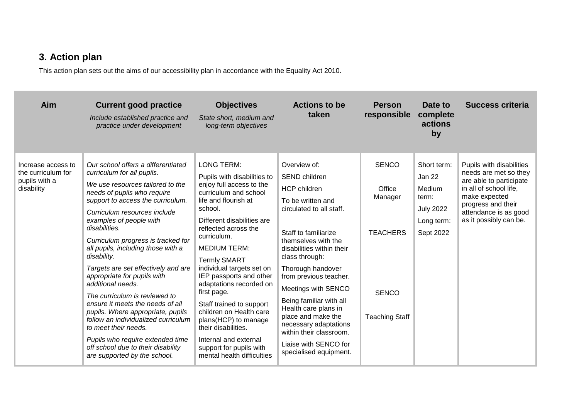# **3. Action plan**

This action plan sets out the aims of our accessibility plan in accordance with the Equality Act 2010.

| Aim                                                                     | <b>Current good practice</b><br>Include established practice and<br>practice under development                                                                                                                                                                                                                                                                                                                                                                                                                                                                                                                                                                                                                                | <b>Objectives</b><br>State short, medium and<br>long-term objectives                                                                                                                                                                                                                                                                                                                                                                                                                                                                                  | <b>Actions to be</b><br>taken                                                                                                                                                                                                                                                                                                                                                                                                                                    | <b>Person</b><br>responsible                                                                  | Date to<br>complete<br>actions<br>by                                                    | <b>Success criteria</b>                                                                                                                                                                          |
|-------------------------------------------------------------------------|-------------------------------------------------------------------------------------------------------------------------------------------------------------------------------------------------------------------------------------------------------------------------------------------------------------------------------------------------------------------------------------------------------------------------------------------------------------------------------------------------------------------------------------------------------------------------------------------------------------------------------------------------------------------------------------------------------------------------------|-------------------------------------------------------------------------------------------------------------------------------------------------------------------------------------------------------------------------------------------------------------------------------------------------------------------------------------------------------------------------------------------------------------------------------------------------------------------------------------------------------------------------------------------------------|------------------------------------------------------------------------------------------------------------------------------------------------------------------------------------------------------------------------------------------------------------------------------------------------------------------------------------------------------------------------------------------------------------------------------------------------------------------|-----------------------------------------------------------------------------------------------|-----------------------------------------------------------------------------------------|--------------------------------------------------------------------------------------------------------------------------------------------------------------------------------------------------|
| Increase access to<br>the curriculum for<br>pupils with a<br>disability | Our school offers a differentiated<br>curriculum for all pupils.<br>We use resources tailored to the<br>needs of pupils who require<br>support to access the curriculum.<br>Curriculum resources include<br>examples of people with<br>disabilities.<br>Curriculum progress is tracked for<br>all pupils, including those with a<br>disability.<br>Targets are set effectively and are<br>appropriate for pupils with<br>additional needs.<br>The curriculum is reviewed to<br>ensure it meets the needs of all<br>pupils. Where appropriate, pupils<br>follow an individualized curriculum<br>to meet their needs.<br>Pupils who require extended time<br>off school due to their disability<br>are supported by the school. | <b>LONG TERM:</b><br>Pupils with disabilities to<br>enjoy full access to the<br>curriculum and school<br>life and flourish at<br>school.<br>Different disabilities are<br>reflected across the<br>curriculum.<br><b>MEDIUM TERM:</b><br><b>Termly SMART</b><br>individual targets set on<br>IEP passports and other<br>adaptations recorded on<br>first page.<br>Staff trained to support<br>children on Health care<br>plans(HCP) to manage<br>their disabilities.<br>Internal and external<br>support for pupils with<br>mental health difficulties | Overview of:<br><b>SEND</b> children<br><b>HCP</b> children<br>To be written and<br>circulated to all staff.<br>Staff to familiarize<br>themselves with the<br>disabilities within their<br>class through:<br>Thorough handover<br>from previous teacher.<br>Meetings with SENCO<br>Being familiar with all<br>Health care plans in<br>place and make the<br>necessary adaptations<br>within their classroom.<br>Liaise with SENCO for<br>specialised equipment. | <b>SENCO</b><br>Office<br>Manager<br><b>TEACHERS</b><br><b>SENCO</b><br><b>Teaching Staff</b> | Short term:<br>Jan 22<br>Medium<br>term:<br><b>July 2022</b><br>Long term:<br>Sept 2022 | Pupils with disabilities<br>needs are met so they<br>are able to participate<br>in all of school life,<br>make expected<br>progress and their<br>attendance is as good<br>as it possibly can be. |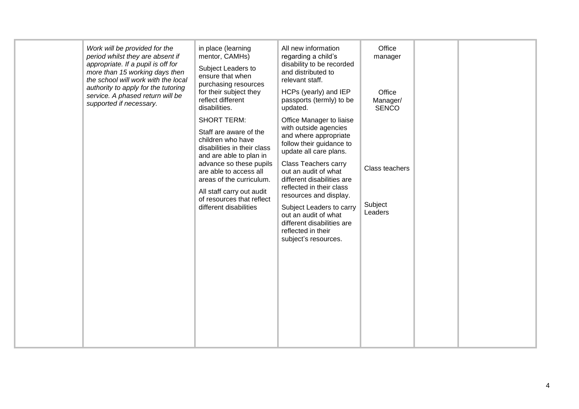|  | Work will be provided for the<br>period whilst they are absent if<br>appropriate. If a pupil is off for<br>more than 15 working days then<br>the school will work with the local<br>authority to apply for the tutoring<br>service. A phased return will be<br>supported if necessary. | in place (learning<br>mentor, CAMHs)<br>Subject Leaders to<br>ensure that when<br>purchasing resources<br>for their subject they<br>reflect different<br>disabilities.<br><b>SHORT TERM:</b><br>Staff are aware of the<br>children who have<br>disabilities in their class<br>and are able to plan in<br>advance so these pupils<br>are able to access all<br>areas of the curriculum.<br>All staff carry out audit<br>of resources that reflect<br>different disabilities | All new information<br>regarding a child's<br>disability to be recorded<br>and distributed to<br>relevant staff.<br>HCPs (yearly) and IEP<br>passports (termly) to be<br>updated.<br>Office Manager to liaise<br>with outside agencies<br>and where appropriate<br>follow their guidance to<br>update all care plans.<br><b>Class Teachers carry</b><br>out an audit of what<br>different disabilities are<br>reflected in their class<br>resources and display.<br>Subject Leaders to carry<br>out an audit of what<br>different disabilities are<br>reflected in their<br>subject's resources. | Office<br>manager<br>Office<br>Manager/<br><b>SENCO</b><br>Class teachers<br>Subject<br>Leaders |  |  |
|--|----------------------------------------------------------------------------------------------------------------------------------------------------------------------------------------------------------------------------------------------------------------------------------------|----------------------------------------------------------------------------------------------------------------------------------------------------------------------------------------------------------------------------------------------------------------------------------------------------------------------------------------------------------------------------------------------------------------------------------------------------------------------------|--------------------------------------------------------------------------------------------------------------------------------------------------------------------------------------------------------------------------------------------------------------------------------------------------------------------------------------------------------------------------------------------------------------------------------------------------------------------------------------------------------------------------------------------------------------------------------------------------|-------------------------------------------------------------------------------------------------|--|--|
|--|----------------------------------------------------------------------------------------------------------------------------------------------------------------------------------------------------------------------------------------------------------------------------------------|----------------------------------------------------------------------------------------------------------------------------------------------------------------------------------------------------------------------------------------------------------------------------------------------------------------------------------------------------------------------------------------------------------------------------------------------------------------------------|--------------------------------------------------------------------------------------------------------------------------------------------------------------------------------------------------------------------------------------------------------------------------------------------------------------------------------------------------------------------------------------------------------------------------------------------------------------------------------------------------------------------------------------------------------------------------------------------------|-------------------------------------------------------------------------------------------------|--|--|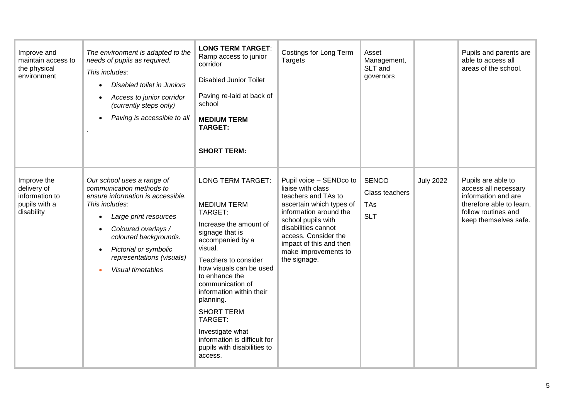| Improve and<br>maintain access to<br>the physical<br>environment            | The environment is adapted to the<br>needs of pupils as required.<br>This includes:<br>Disabled toilet in Juniors<br>Access to junior corridor<br>(currently steps only)<br>Paving is accessible to all                                                                        | <b>LONG TERM TARGET:</b><br>Ramp access to junior<br>corridor<br><b>Disabled Junior Toilet</b><br>Paving re-laid at back of<br>school<br><b>MEDIUM TERM</b><br><b>TARGET:</b><br><b>SHORT TERM:</b>                                                                                                                                                                                                   | Costings for Long Term<br>Targets                                                                                                                                                                                                                                 | Asset<br>Management,<br>SLT and<br>governors               |                  | Pupils and parents are<br>able to access all<br>areas of the school.                                                                          |
|-----------------------------------------------------------------------------|--------------------------------------------------------------------------------------------------------------------------------------------------------------------------------------------------------------------------------------------------------------------------------|-------------------------------------------------------------------------------------------------------------------------------------------------------------------------------------------------------------------------------------------------------------------------------------------------------------------------------------------------------------------------------------------------------|-------------------------------------------------------------------------------------------------------------------------------------------------------------------------------------------------------------------------------------------------------------------|------------------------------------------------------------|------------------|-----------------------------------------------------------------------------------------------------------------------------------------------|
| Improve the<br>delivery of<br>information to<br>pupils with a<br>disability | Our school uses a range of<br>communication methods to<br>ensure information is accessible.<br>This includes:<br>Large print resources<br>Coloured overlays /<br>coloured backgrounds.<br>Pictorial or symbolic<br>$\bullet$<br>representations (visuals)<br>Visual timetables | <b>LONG TERM TARGET:</b><br><b>MEDIUM TERM</b><br>TARGET:<br>Increase the amount of<br>signage that is<br>accompanied by a<br>visual.<br>Teachers to consider<br>how visuals can be used<br>to enhance the<br>communication of<br>information within their<br>planning.<br><b>SHORT TERM</b><br>TARGET:<br>Investigate what<br>information is difficult for<br>pupils with disabilities to<br>access. | Pupil voice - SENDco to<br>liaise with class<br>teachers and TAs to<br>ascertain which types of<br>information around the<br>school pupils with<br>disabilities cannot<br>access. Consider the<br>impact of this and then<br>make improvements to<br>the signage. | <b>SENCO</b><br>Class teachers<br><b>TAs</b><br><b>SLT</b> | <b>July 2022</b> | Pupils are able to<br>access all necessary<br>information and are<br>therefore able to learn,<br>follow routines and<br>keep themselves safe. |